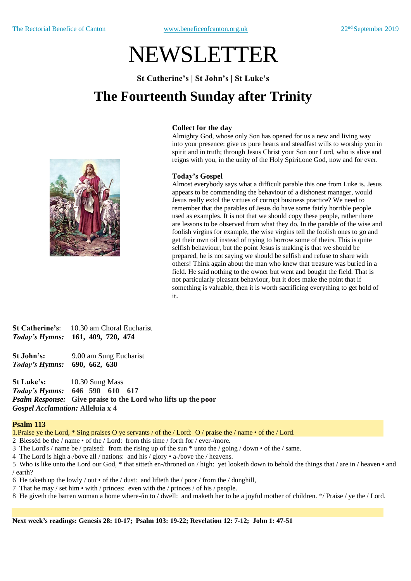# NEWSLETTER

**St Catherine's | St John's | St Luke's**

## **The Fourteenth Sunday after Trinity**



### **Collect for the day**

Almighty God, whose only Son has opened for us a new and living way into your presence: give us pure hearts and steadfast wills to worship you in spirit and in truth; through Jesus Christ your Son our Lord, who is alive and reigns with you, in the unity of the Holy Spirit,one God, now and for ever.

### **Today's Gospel**

Almost everybody says what a difficult parable this one from Luke is. Jesus appears to be commending the behaviour of a dishonest manager, would Jesus really extol the virtues of corrupt business practice? We need to remember that the parables of Jesus do have some fairly horrible people used as examples. It is not that we should copy these people, rather there are lessons to be observed from what they do. In the parable of the wise and foolish virgins for example, the wise virgins tell the foolish ones to go and get their own oil instead of trying to borrow some of theirs. This is quite selfish behaviour, but the point Jesus is making is that we should be prepared, he is not saying we should be selfish and refuse to share with others! Think again about the man who knew that treasure was buried in a field. He said nothing to the owner but went and bought the field. That is not particularly pleasant behaviour, but it does make the point that if something is valuable, then it is worth sacrificing everything to get hold of it.

**St Catherine's**: 10.30 am Choral Eucharist *Today's Hymns:* **161, 409, 720, 474**

**St John's:** 9.00 am Sung Eucharist *Today's Hymns:* **690, 662, 630** 

**St Luke's:** 10.30 Sung Mass *Today's Hymns:* **646 590 610 617** *Psalm Response:* **Give praise to the Lord who lifts up the poor** *Gospel Acclamation:* **Alleluia x 4**

### **Psalm 113**

1.Praise ye the Lord, \* Sing praises O ye servants / of the / Lord: O / praise the / name • of the / Lord.

- 2 Blessèd be the / name of the / Lord: from this time / forth for / ever-/more.
- 3 The Lord's / name be / praised: from the rising up of the sun \* unto the / going / down of the / same.
- 4 The Lord is high a-/bove all / nations: and his / glory a-/bove the / heavens.
- 5 Who is like unto the Lord our God, \* that sitteth en-/throned on / high: yet looketh down to behold the things that / are in / heaven and / earth?
- 6 He taketh up the lowly / out  $\cdot$  of the / dust: and lifteth the / poor / from the / dunghill,
- 7 That he may / set him with / princes: even with the / princes / of his / people.
- 8 He giveth the barren woman a home where-/in to / dwell: and maketh her to be a joyful mother of children. \*/ Praise / ye the / Lord.

**Next week's readings: Genesis 28: 10-17; Psalm 103: 19-22; Revelation 12: 7-12; John 1: 47-51**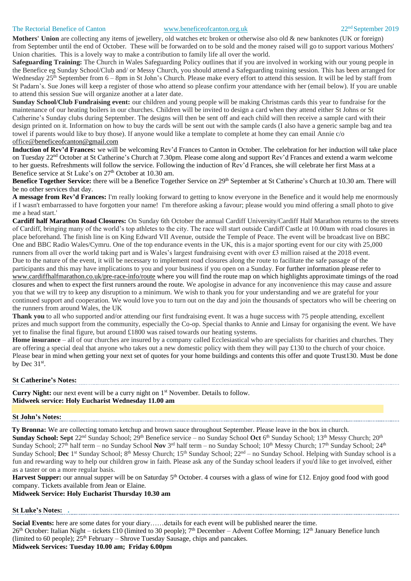### The Rectorial Benefice of Canton [www.beneficeofcanton.org.uk](http://www.beneficeofcanton.org.uk/) 22<sup>nd</sup> September 2019

**Mothers' Union** are collecting any items of jewellery, old watches etc broken or otherwise also old & new banknotes (UK or foreign) from September until the end of October. These will be forwarded on to be sold and the money raised will go to support various Mothers' Union charities. This is a lovely way to make a contribution to family life all over the world.

**Safeguarding Training:** The Church in Wales Safeguarding Policy outlines that if you are involved in working with our young people in the Benefice eg Sunday School/Club and/ or Messy Church, you should attend a Safeguarding training session. This has been arranged for Wednesday 25<sup>th</sup> September from 6 – 8pm in St John's Church. Please make every effort to attend this session. It will be led by staff from St Padarn's. Sue Jones will keep a register of those who attend so please confirm your attendance with her (email below). If you are unable to attend this session Sue will organize another at a later date.

**Sunday School/Club Fundraising event:** our children and young people will be making Christmas cards this year to fundraise for the maintenance of our heating boilers in our churches. Children will be invited to design a card when they attend either St Johns or St Catherine's Sunday clubs during September. The designs will then be sent off and each child will then receive a sample card with their design printed on it. Information on how to buy the cards will be sent out with the sample cards (I also have a generic sample bag and tea towel if parents would like to buy those). If anyone would like a template to complete at home they can email Annie c/o office[@beneficeofcanton@gmail.com](mailto:beneficeofcanton@gmail.com)

**Induction of Rev'd Frances:** we will be welcoming Rev'd Frances to Canton in October. The celebration for her induction will take place on Tuesday 22<sup>nd</sup> October at St Catherine's Church at 7.30pm. Please come along and support Rev'd Frances and extend a warm welcome to her guests. Refreshments will follow the service. Following the induction of Rev'd Frances, she will celebrate her first Mass at a Benefice service at St Luke's on  $27<sup>th</sup>$  October at 10.30 am.

**Benefice Together Service:** there will be a Benefice Together Service on 29<sup>th</sup> September at St Catherine's Church at 10.30 am. There will be no other services that day.

**A message from Rev'd Frances:** I'm really looking forward to getting to know everyone in the Benefice and it would help me enormously if I wasn't embarrassed to have forgotten your name! I'm therefore asking a favour; please would you mind offering a small photo to give me a head start.'

**Cardiff half Marathon Road Closures:** On Sunday 6th October the annual Cardiff University/Cardiff Half Marathon returns to the streets of Cardiff, bringing many of the world's top athletes to the city. The race will start outside Cardiff Castle at 10.00am with road closures in place beforehand. The finish line is on King Edward VII Avenue, outside the Temple of Peace. The event will be broadcast live on BBC One and BBC Radio Wales/Cymru. One of the top endurance events in the UK, this is a major sporting event for our city with 25,000 runners from all over the world taking part and is Wales's largest fundraising event with over £3 million raised at the 2018 event. Due to the nature of the event, it will be necessary to implement road closures along the route to facilitate the safe passage of the participants and this may have implications to you and your business if you open on a Sunday. For further information please refer to [www.cardiffhalfmarathon.co.uk/pre-race-info/route](http://www.cardiffhalfmarathon.co.uk/pre-race-info/route) where you will find the route map on which highlights approximate timings of the road closures and when to expect the first runners around the route. We apologise in advance for any inconvenience this may cause and assure you that we will try to keep any disruption to a minimum. We wish to thank you for your understanding and we are grateful for your continued support and cooperation. We would love you to turn out on the day and join the thousands of spectators who will be cheering on the runners from around Wales, the UK

**Thank you** to all who supported and/or attending our first fundraising event. It was a huge success with 75 people attending, excellent prizes and much support from the community, especially the Co-op. Special thanks to Annie and Linsay for organising the event. We have yet to finalise the final figure, but around £1800 was raised towards our heating systems.

**Home insurance** – all of our churches are insured by a company called Ecclesiastical who are specialists for charities and churches. They are offering a special deal that anyone who takes out a new domestic policy with them they will pay  $\pounds$ 130 to the church of your choice. Please bear in mind when getting your next set of quotes for your home buildings and contents this offer and quote Trust130. Must be done by Dec  $31<sup>st</sup>$ .

### **St Catherine's Notes:**

**Curry Night:** our next event will be a curry night on 1<sup>st</sup> November. Details to follow. **Midweek service: Holy Eucharist Wednesday 11.00 am**

### **St John's Notes:**

**Ty Bronna:** We are collecting tomato ketchup and brown sauce throughout September. Please leave in the box in church.

**Sunday School: Sept** 22nd Sunday School; 29th Benefice service – no Sunday School **Oct** 6 th Sunday School; 13th Messy Church; 20th Sunday School; 27<sup>th</sup> half term – no Sunday School **Nov** 3<sup>rd</sup> half term – no Sunday School; 10<sup>th</sup> Messy Church; 17<sup>th</sup> Sunday School; 24<sup>th</sup> Sunday School; Dec 1<sup>st</sup> Sunday School; 8<sup>th</sup> Messy Church; 15<sup>th</sup> Sunday School; 22<sup>nd</sup> – no Sunday School. Helping with Sunday school is a fun and rewarding way to help our children grow in faith. Please ask any of the Sunday school leaders if you'd like to get involved, either as a taster or on a more regular basis.

Harvest Supper: our annual supper will be on Saturday 5<sup>th</sup> October. 4 courses with a glass of wine for £12. Enjoy good food with good company. Tickets available from Jean or Elaine.

**Midweek Service: Holy Eucharist Thursday 10.30 am**

### **St Luke's Notes: .**

**Social Events:** here are some dates for your diary……details for each event will be published nearer the time. 26<sup>th</sup> October: Italian Night – tickets £10 (limited to 30 people); 7<sup>th</sup> December – Advent Coffee Morning; 12<sup>th</sup> January Benefice lunch (limited to 60 people);  $25<sup>th</sup>$  February – Shrove Tuesday Sausage, chips and pancakes. **Midweek Services: Tuesday 10.00 am; Friday 6.00pm**